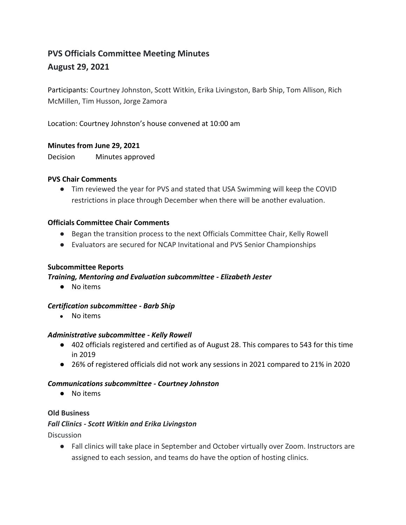# **PVS Officials Committee Meeting Minutes August 29, 2021**

Participants: Courtney Johnston, Scott Witkin, Erika Livingston, Barb Ship, Tom Allison, Rich McMillen, Tim Husson, Jorge Zamora

Location: Courtney Johnston's house convened at 10:00 am

# **Minutes from June 29, 2021**

Decision Minutes approved

#### **PVS Chair Comments**

● Tim reviewed the year for PVS and stated that USA Swimming will keep the COVID restrictions in place through December when there will be another evaluation.

# **Officials Committee Chair Comments**

- Began the transition process to the next Officials Committee Chair, Kelly Rowell
- Evaluators are secured for NCAP Invitational and PVS Senior Championships

# **Subcommittee Reports**

# *Training, Mentoring and Evaluation subcommittee - Elizabeth Jester*

● No items

# *Certification subcommittee - Barb Ship*

● No items

#### *Administrative subcommittee - Kelly Rowell*

- 402 officials registered and certified as of August 28. This compares to 543 for this time in 2019
- 26% of registered officials did not work any sessions in 2021 compared to 21% in 2020

# *Communications subcommittee - Courtney Johnston*

● No items

#### **Old Business**

# *Fall Clinics - Scott Witkin and Erika Livingston*

**Discussion** 

● Fall clinics will take place in September and October virtually over Zoom. Instructors are assigned to each session, and teams do have the option of hosting clinics.